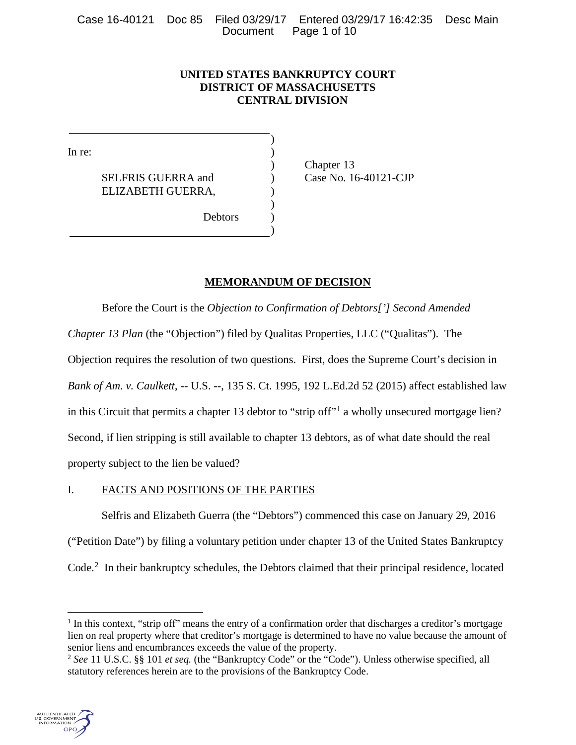# **UNITED STATES BANKRUPTCY COURT DISTRICT OF MASSACHUSETTS CENTRAL DIVISION**

)

)

In re: (a) and  $\overline{a}$  and  $\overline{b}$  and  $\overline{a}$  and  $\overline{a}$  and  $\overline{a}$  and  $\overline{a}$  and  $\overline{a}$  and  $\overline{a}$  and  $\overline{a}$  and  $\overline{a}$  and  $\overline{a}$  and  $\overline{a}$  and  $\overline{a}$  and  $\overline{a}$  and  $\overline{a}$  and  $\overline{a}$  and

SELFRIS GUERRA and <br>
(ase No. 16-40121-CJP) ELIZABETH GUERRA, )

) Chapter 13

)

**Debtors** 

# **MEMORANDUM OF DECISION**

Before the Court is the *Objection to Confirmation of Debtors['] Second Amended Chapter 13 Plan* (the "Objection") filed by Qualitas Properties, LLC ("Qualitas"). The Objection requires the resolution of two questions. First, does the Supreme Court's decision in *Bank of Am. v. Caulkett*, -- U.S. --, 135 S. Ct. 1995, 192 L.Ed.2d 52 (2015) affect established law in this Circuit that permits a chapter [1](#page-0-0)3 debtor to "strip off"<sup>1</sup> a wholly unsecured mortgage lien? Second, if lien stripping is still available to chapter 13 debtors, as of what date should the real property subject to the lien be valued?

# I. FACTS AND POSITIONS OF THE PARTIES

Selfris and Elizabeth Guerra (the "Debtors") commenced this case on January 29, 2016 ("Petition Date") by filing a voluntary petition under chapter 13 of the United States Bankruptcy Code. [2](#page-0-1) In their bankruptcy schedules, the Debtors claimed that their principal residence, located

<span id="page-0-1"></span><span id="page-0-0"></span><sup>2</sup> *See* 11 U.S.C. §§ 101 *et seq.* (the "Bankruptcy Code" or the "Code"). Unless otherwise specified, all statutory references herein are to the provisions of the Bankruptcy Code.



 $\overline{a}$ 

<sup>&</sup>lt;sup>1</sup> In this context, "strip off" means the entry of a confirmation order that discharges a creditor's mortgage lien on real property where that creditor's mortgage is determined to have no value because the amount of senior liens and encumbrances exceeds the value of the property.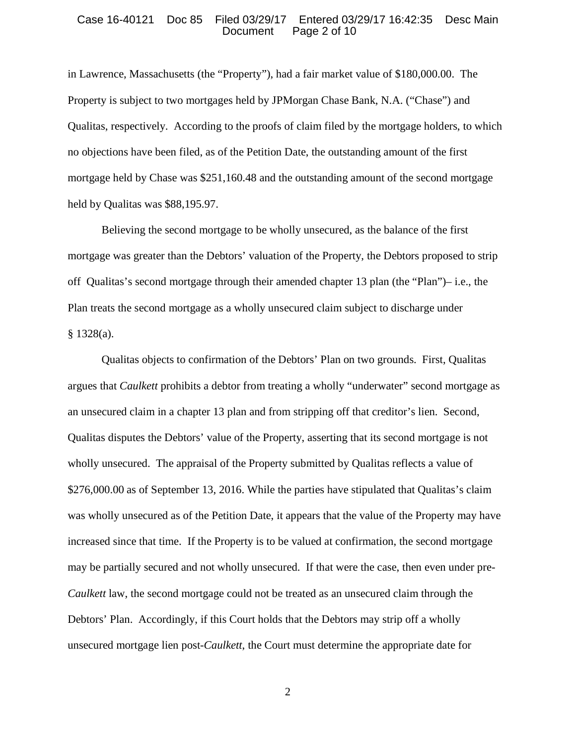#### Case 16-40121 Doc 85 Filed 03/29/17 Entered 03/29/17 16:42:35 Desc Main Page 2 of 10

in Lawrence, Massachusetts (the "Property"), had a fair market value of \$180,000.00. The Property is subject to two mortgages held by JPMorgan Chase Bank, N.A. ("Chase") and Qualitas, respectively. According to the proofs of claim filed by the mortgage holders, to which no objections have been filed, as of the Petition Date, the outstanding amount of the first mortgage held by Chase was \$251,160.48 and the outstanding amount of the second mortgage held by Qualitas was \$88,195.97.

Believing the second mortgage to be wholly unsecured, as the balance of the first mortgage was greater than the Debtors' valuation of the Property, the Debtors proposed to strip off Qualitas's second mortgage through their amended chapter 13 plan (the "Plan")– i.e., the Plan treats the second mortgage as a wholly unsecured claim subject to discharge under  $§$  1328(a).

Qualitas objects to confirmation of the Debtors' Plan on two grounds. First, Qualitas argues that *Caulkett* prohibits a debtor from treating a wholly "underwater" second mortgage as an unsecured claim in a chapter 13 plan and from stripping off that creditor's lien. Second, Qualitas disputes the Debtors' value of the Property, asserting that its second mortgage is not wholly unsecured. The appraisal of the Property submitted by Qualitas reflects a value of \$276,000.00 as of September 13, 2016. While the parties have stipulated that Qualitas's claim was wholly unsecured as of the Petition Date, it appears that the value of the Property may have increased since that time. If the Property is to be valued at confirmation, the second mortgage may be partially secured and not wholly unsecured. If that were the case, then even under pre-*Caulkett* law, the second mortgage could not be treated as an unsecured claim through the Debtors' Plan. Accordingly, if this Court holds that the Debtors may strip off a wholly unsecured mortgage lien post-*Caulkett*, the Court must determine the appropriate date for

2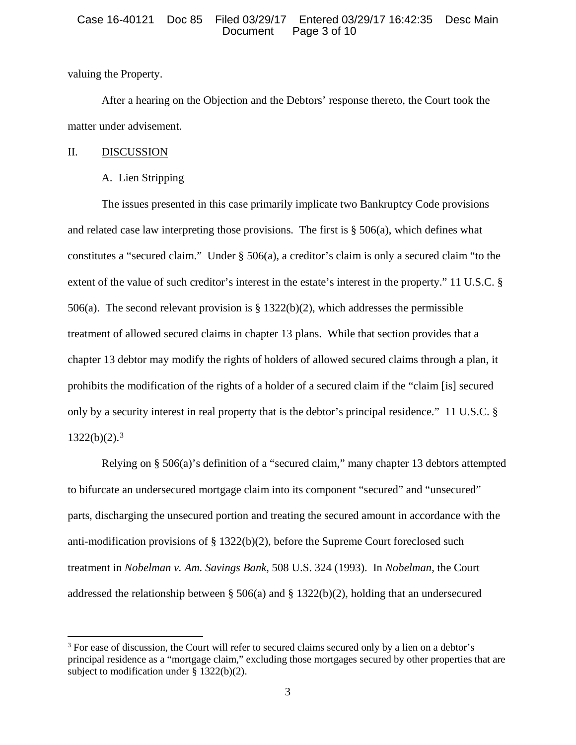# Case 16-40121 Doc 85 Filed 03/29/17 Entered 03/29/17 16:42:35 Desc Main Page 3 of 10

valuing the Property.

After a hearing on the Objection and the Debtors' response thereto, the Court took the matter under advisement.

# II. DISCUSSION

l

# A. Lien Stripping

The issues presented in this case primarily implicate two Bankruptcy Code provisions and related case law interpreting those provisions. The first is  $\S$  506(a), which defines what constitutes a "secured claim." Under § 506(a), a creditor's claim is only a secured claim "to the extent of the value of such creditor's interest in the estate's interest in the property." 11 U.S.C. § 506(a). The second relevant provision is § 1322(b)(2), which addresses the permissible treatment of allowed secured claims in chapter 13 plans. While that section provides that a chapter 13 debtor may modify the rights of holders of allowed secured claims through a plan, it prohibits the modification of the rights of a holder of a secured claim if the "claim [is] secured only by a security interest in real property that is the debtor's principal residence." 11 U.S.C. §  $1322(b)(2).<sup>3</sup>$  $1322(b)(2).<sup>3</sup>$  $1322(b)(2).<sup>3</sup>$ 

Relying on § 506(a)'s definition of a "secured claim," many chapter 13 debtors attempted to bifurcate an undersecured mortgage claim into its component "secured" and "unsecured" parts, discharging the unsecured portion and treating the secured amount in accordance with the anti-modification provisions of  $\S 1322(b)(2)$ , before the Supreme Court foreclosed such treatment in *Nobelman v. Am. Savings Bank*, 508 U.S. 324 (1993). In *Nobelman*, the Court addressed the relationship between § 506(a) and § 1322(b)(2), holding that an undersecured

<span id="page-2-0"></span><sup>&</sup>lt;sup>3</sup> For ease of discussion, the Court will refer to secured claims secured only by a lien on a debtor's principal residence as a "mortgage claim," excluding those mortgages secured by other properties that are subject to modification under § 1322(b)(2).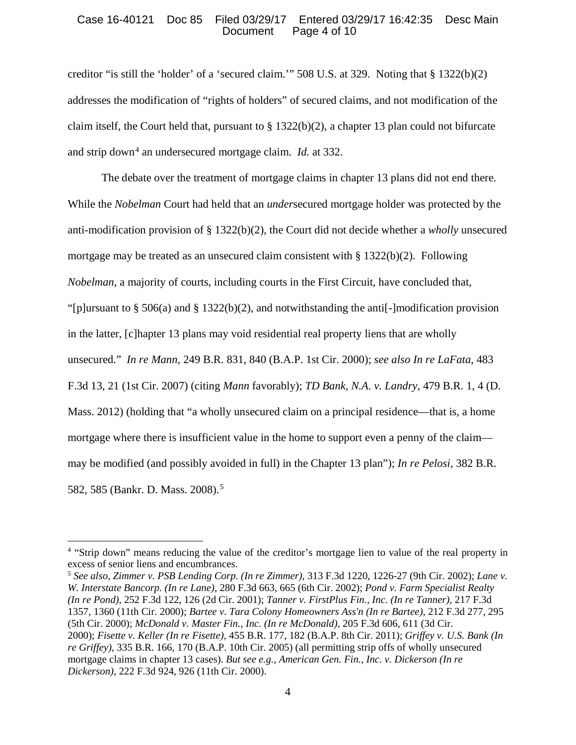# Case 16-40121 Doc 85 Filed 03/29/17 Entered 03/29/17 16:42:35 Desc Main Page 4 of 10

creditor "is still the 'holder' of a 'secured claim.'" 508 U.S. at 329. Noting that § 1322(b)(2) addresses the modification of "rights of holders" of secured claims, and not modification of the claim itself, the Court held that, pursuant to § 1322(b)(2), a chapter 13 plan could not bifurcate and strip down<sup>[4](#page-3-0)</sup> an undersecured mortgage claim. *Id.* at 332.

The debate over the treatment of mortgage claims in chapter 13 plans did not end there. While the *Nobelman* Court had held that an *under*secured mortgage holder was protected by the anti-modification provision of § 1322(b)(2), the Court did not decide whether a *wholly* unsecured mortgage may be treated as an unsecured claim consistent with  $\S 1322(b)(2)$ . Following *Nobelman*, a majority of courts, including courts in the First Circuit, have concluded that, "[p]ursuant to § 506(a) and § 1322(b)(2), and notwithstanding the anti[-]modification provision in the latter, [c]hapter 13 plans may void residential real property liens that are wholly unsecured." *In re Mann*, 249 B.R. 831, 840 (B.A.P. 1st Cir. 2000); *see also In re LaFata*, 483 F.3d 13, 21 (1st Cir. 2007) (citing *Mann* favorably); *TD Bank, N.A. v. Landry*, 479 B.R. 1, 4 (D. Mass. 2012) (holding that "a wholly unsecured claim on a principal residence—that is, a home mortgage where there is insufficient value in the home to support even a penny of the claim may be modified (and possibly avoided in full) in the Chapter 13 plan"); *In re Pelosi*, 382 B.R. 582, 585 (Bankr. D. Mass. 2008). [5](#page-3-1) 

 $\overline{\phantom{a}}$ 

<span id="page-3-1"></span><sup>5</sup> *See also, Zimmer v. PSB Lending Corp. (In re Zimmer)*, 313 F.3d 1220, 1226-27 (9th Cir. 2002); *Lane v. W. Interstate Bancorp. (In re Lane),* 280 F.3d 663, 665 (6th Cir. 2002); *Pond v. Farm Specialist Realty (In re Pond),* 252 F.3d 122, 126 (2d Cir. 2001); *Tanner v. FirstPlus Fin., Inc. (In re Tanner),* 217 F.3d 1357, 1360 (11th Cir. 2000); *Bartee v. Tara Colony Homeowners Ass'n (In re Bartee),* 212 F.3d 277, 295 (5th Cir. 2000); *McDonald v. Master Fin., Inc. (In re McDonald),* 205 F.3d 606, 611 (3d Cir. 2000); *Fisette v. Keller (In re Fisette),* 455 B.R. 177, 182 (B.A.P. 8th Cir. 2011); *Griffey v. U.S. Bank (In re Griffey),* 335 B.R. 166, 170 (B.A.P. 10th Cir. 2005) (all permitting strip offs of wholly unsecured mortgage claims in chapter 13 cases). *But see e.g., American Gen. Fin., Inc. v. Dickerson (In re Dickerson)*, 222 F.3d 924, 926 (11th Cir. 2000).

<span id="page-3-0"></span><sup>4</sup> "Strip down" means reducing the value of the creditor's mortgage lien to value of the real property in excess of senior liens and encumbrances.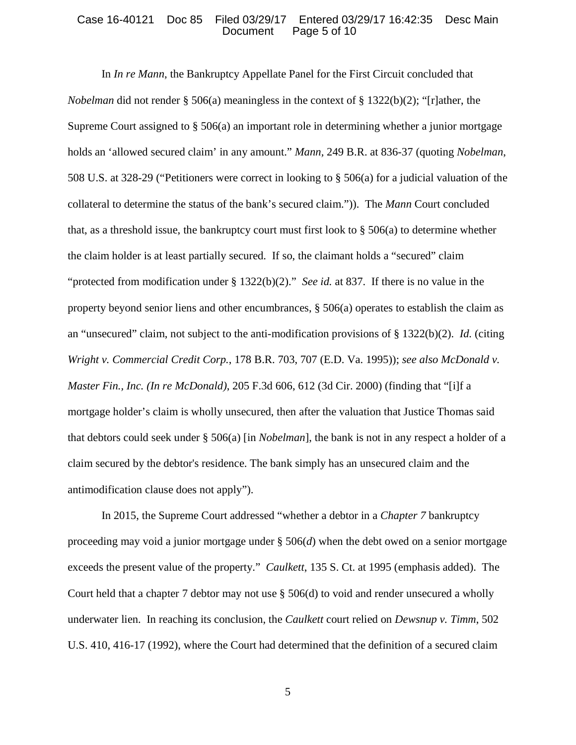#### Case 16-40121 Doc 85 Filed 03/29/17 Entered 03/29/17 16:42:35 Desc Main Page 5 of 10

In *In re Mann*, the Bankruptcy Appellate Panel for the First Circuit concluded that *Nobelman* did not render § 506(a) meaningless in the context of § 1322(b)(2); "[r]ather, the Supreme Court assigned to § 506(a) an important role in determining whether a junior mortgage holds an 'allowed secured claim' in any amount." *Mann,* 249 B.R. at 836-37 (quoting *Nobelman*, 508 U.S. at 328-29 ("Petitioners were correct in looking to § 506(a) for a judicial valuation of the collateral to determine the status of the bank's secured claim.")). The *Mann* Court concluded that, as a threshold issue, the bankruptcy court must first look to  $\S 506(a)$  to determine whether the claim holder is at least partially secured. If so, the claimant holds a "secured" claim "protected from modification under § 1322(b)(2)." *See id.* at 837. If there is no value in the property beyond senior liens and other encumbrances,  $\S$  506(a) operates to establish the claim as an "unsecured" claim, not subject to the anti-modification provisions of § 1322(b)(2). *Id.* (citing *Wright v. Commercial Credit Corp.*, 178 B.R. 703, 707 (E.D. Va. 1995)); *see also McDonald v. Master Fin., Inc. (In re McDonald)*, 205 F.3d 606, 612 (3d Cir. 2000) (finding that "[i]f a mortgage holder's claim is wholly unsecured, then after the valuation that Justice Thomas said that debtors could seek under § 506(a) [in *Nobelman*], the bank is not in any respect a holder of a claim secured by the debtor's residence. The bank simply has an unsecured claim and the antimodification clause does not apply").

In 2015, the Supreme Court addressed "whether a debtor in a *Chapter 7* bankruptcy proceeding may void a junior mortgage under  $\S 506(d)$  when the debt owed on a senior mortgage exceeds the present value of the property." *Caulkett*, 135 S. Ct. at 1995 (emphasis added). The Court held that a chapter 7 debtor may not use § 506(d) to void and render unsecured a wholly underwater lien. In reaching its conclusion, the *Caulkett* court relied on *Dewsnup v. Timm*, 502 U.S. 410, 416-17 (1992), where the Court had determined that the definition of a secured claim

5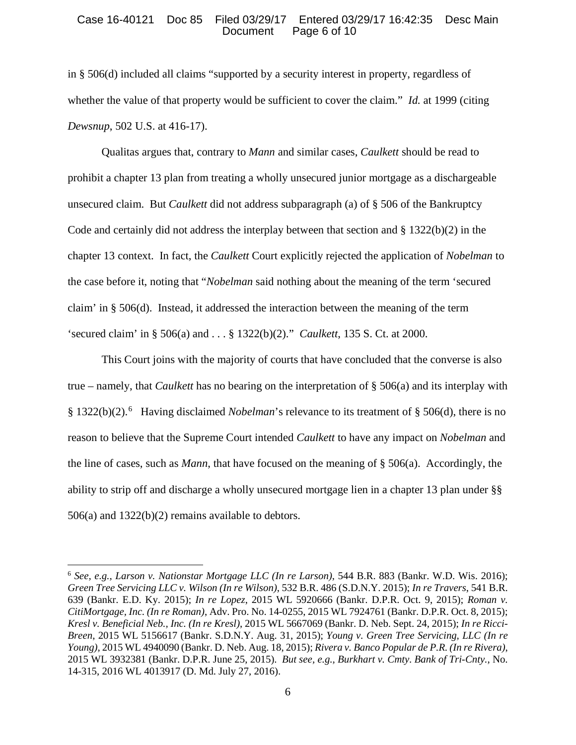# Case 16-40121 Doc 85 Filed 03/29/17 Entered 03/29/17 16:42:35 Desc Main Page 6 of 10

in § 506(d) included all claims "supported by a security interest in property, regardless of whether the value of that property would be sufficient to cover the claim." *Id.* at 1999 (citing *Dewsnup*, 502 U.S. at 416-17).

Qualitas argues that, contrary to *Mann* and similar cases, *Caulkett* should be read to prohibit a chapter 13 plan from treating a wholly unsecured junior mortgage as a dischargeable unsecured claim. But *Caulkett* did not address subparagraph (a) of § 506 of the Bankruptcy Code and certainly did not address the interplay between that section and  $\S 1322(b)(2)$  in the chapter 13 context. In fact, the *Caulkett* Court explicitly rejected the application of *Nobelman* to the case before it, noting that "*Nobelman* said nothing about the meaning of the term 'secured claim' in § 506(d). Instead, it addressed the interaction between the meaning of the term 'secured claim' in § 506(a) and . . . § 1322(b)(2)." *Caulkett*, 135 S. Ct. at 2000.

This Court joins with the majority of courts that have concluded that the converse is also true – namely, that *Caulkett* has no bearing on the interpretation of § 506(a) and its interplay with § 1322(b)(2). [6](#page-5-0) Having disclaimed *Nobelman*'s relevance to its treatment of § 506(d), there is no reason to believe that the Supreme Court intended *Caulkett* to have any impact on *Nobelman* and the line of cases, such as *Mann*, that have focused on the meaning of § 506(a). Accordingly, the ability to strip off and discharge a wholly unsecured mortgage lien in a chapter 13 plan under §§ 506(a) and 1322(b)(2) remains available to debtors.

 $\overline{a}$ 

<span id="page-5-0"></span><sup>6</sup> *See, e.g., Larson v. Nationstar Mortgage LLC (In re Larson)*, 544 B.R. 883 (Bankr. W.D. Wis. 2016); *Green Tree Servicing LLC v. Wilson (In re Wilson)*, 532 B.R. 486 (S.D.N.Y. 2015); *In re Travers*, 541 B.R. 639 (Bankr. E.D. Ky. 2015); *In re Lopez*, 2015 WL 5920666 (Bankr. D.P.R. Oct. 9, 2015); *Roman v. CitiMortgage, Inc. (In re Roman)*, Adv. Pro. No. 14-0255, 2015 WL 7924761 (Bankr. D.P.R. Oct. 8, 2015); *Kresl v. Beneficial Neb., Inc. (In re Kresl)*, 2015 WL 5667069 (Bankr. D. Neb. Sept. 24, 2015); *In re Ricci-Breen*, 2015 WL 5156617 (Bankr. S.D.N.Y. Aug. 31, 2015); *Young v. Green Tree Servicing, LLC (In re Young),* 2015 WL 4940090 (Bankr. D. Neb. Aug. 18, 2015); *Rivera v. Banco Popular de P.R. (In re Rivera)*, 2015 WL 3932381 (Bankr. D.P.R. June 25, 2015). *But see, e.g., Burkhart v. Cmty. Bank of Tri-Cnty.*, No. 14-315, 2016 WL 4013917 (D. Md. July 27, 2016).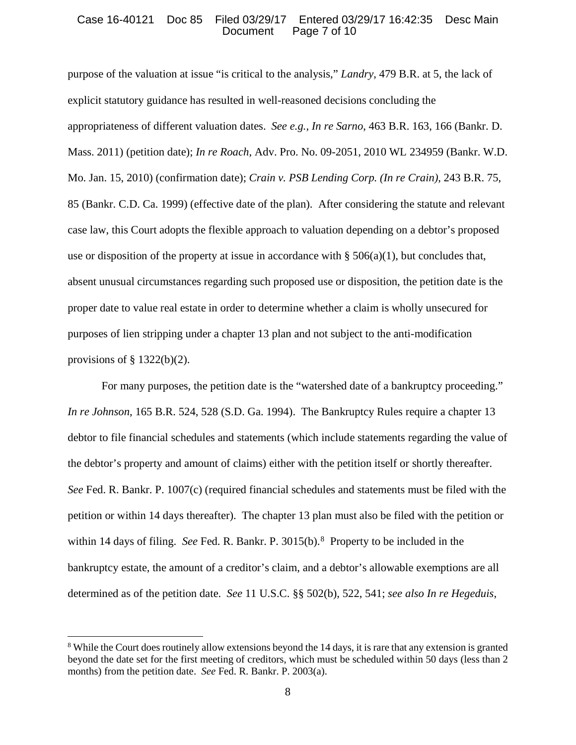# Case 16-40121 Doc 85 Filed 03/29/17 Entered 03/29/17 16:42:35 Desc Main Page 7 of 10

purpose of the valuation at issue "is critical to the analysis," *Landry*, 479 B.R. at 5, the lack of explicit statutory guidance has resulted in well-reasoned decisions concluding the appropriateness of different valuation dates. *See e.g., In re Sarno*, 463 B.R. 163, 166 (Bankr. D. Mass. 2011) (petition date); *In re Roach*, Adv. Pro. No. 09-2051, 2010 WL 234959 (Bankr. W.D. Mo. Jan. 15, 2010) (confirmation date); *Crain v. PSB Lending Corp. (In re Crain)*, 243 B.R. 75, 85 (Bankr. C.D. Ca. 1999) (effective date of the plan). After considering the statute and relevant case law, this Court adopts the flexible approach to valuation depending on a debtor's proposed use or disposition of the property at issue in accordance with  $\S 506(a)(1)$ , but concludes that, absent unusual circumstances regarding such proposed use or disposition, the petition date is the proper date to value real estate in order to determine whether a claim is wholly unsecured for purposes of lien stripping under a chapter 13 plan and not subject to the anti-modification provisions of  $\S$  1322(b)(2).

For many purposes, the petition date is the "watershed date of a bankruptcy proceeding." *In re Johnson*, 165 B.R. 524, 528 (S.D. Ga. 1994). The Bankruptcy Rules require a chapter 13 debtor to file financial schedules and statements (which include statements regarding the value of the debtor's property and amount of claims) either with the petition itself or shortly thereafter. *See* Fed. R. Bankr. P. 1007(c) (required financial schedules and statements must be filed with the petition or within 14 days thereafter). The chapter 13 plan must also be filed with the petition or within 14 days of filing. *See* Fed. R. Bankr. P. 3015(b).<sup>[8](#page-6-0)</sup> Property to be included in the bankruptcy estate, the amount of a creditor's claim, and a debtor's allowable exemptions are all determined as of the petition date. *See* 11 U.S.C. §§ 502(b), 522, 541; *see also In re Hegeduis*,

l

<span id="page-6-0"></span><sup>8</sup> While the Court does routinely allow extensions beyond the 14 days, it is rare that any extension is granted beyond the date set for the first meeting of creditors, which must be scheduled within 50 days (less than 2 months) from the petition date. *See* Fed. R. Bankr. P. 2003(a).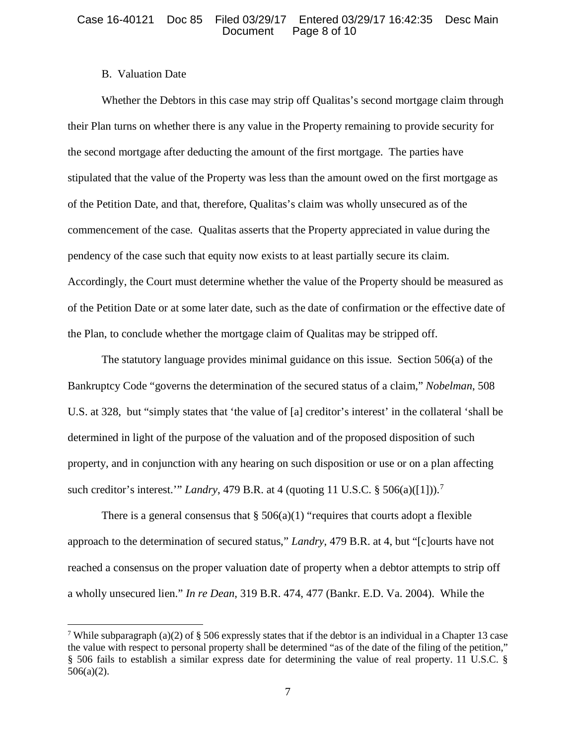# B. Valuation Date

 $\overline{\phantom{a}}$ 

Whether the Debtors in this case may strip off Qualitas's second mortgage claim through their Plan turns on whether there is any value in the Property remaining to provide security for the second mortgage after deducting the amount of the first mortgage. The parties have stipulated that the value of the Property was less than the amount owed on the first mortgage as of the Petition Date, and that, therefore, Qualitas's claim was wholly unsecured as of the commencement of the case. Qualitas asserts that the Property appreciated in value during the pendency of the case such that equity now exists to at least partially secure its claim. Accordingly, the Court must determine whether the value of the Property should be measured as of the Petition Date or at some later date, such as the date of confirmation or the effective date of the Plan, to conclude whether the mortgage claim of Qualitas may be stripped off.

The statutory language provides minimal guidance on this issue. Section 506(a) of the Bankruptcy Code "governs the determination of the secured status of a claim," *Nobelman*, 508 U.S. at 328, but "simply states that 'the value of [a] creditor's interest' in the collateral 'shall be determined in light of the purpose of the valuation and of the proposed disposition of such property, and in conjunction with any hearing on such disposition or use or on a plan affecting such creditor's interest.'" *Landry*, 479 B.R. at 4 (quoting 11 U.S.C. § 506(a)([1])).[7](#page-7-0)

There is a general consensus that  $\S 506(a)(1)$  "requires that courts adopt a flexible approach to the determination of secured status," *Landry*, 479 B.R. at 4, but "[c]ourts have not reached a consensus on the proper valuation date of property when a debtor attempts to strip off a wholly unsecured lien." *In re Dean*, 319 B.R. 474, 477 (Bankr. E.D. Va. 2004). While the

<span id="page-7-0"></span><sup>&</sup>lt;sup>7</sup> While subparagraph (a)(2) of § 506 expressly states that if the debtor is an individual in a Chapter 13 case the value with respect to personal property shall be determined "as of the date of the filing of the petition," § 506 fails to establish a similar express date for determining the value of real property. 11 U.S.C. § 506(a)(2).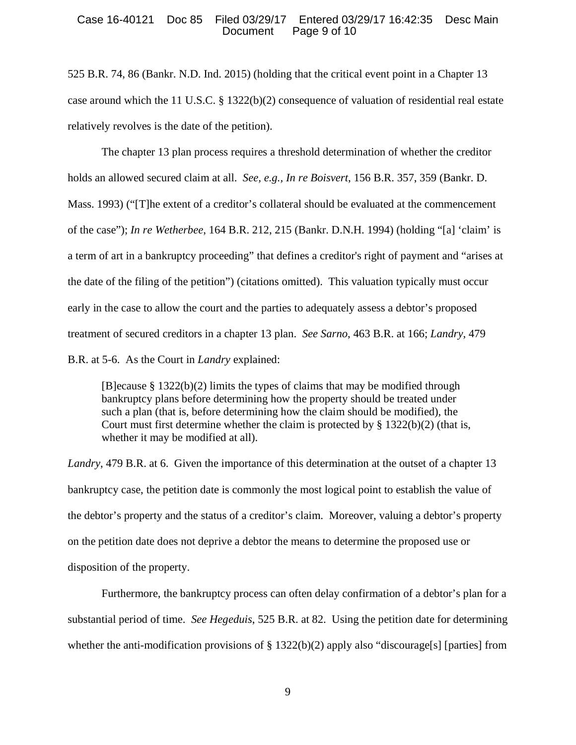# Case 16-40121 Doc 85 Filed 03/29/17 Entered 03/29/17 16:42:35 Desc Main Page 9 of 10

525 B.R. 74, 86 (Bankr. N.D. Ind. 2015) (holding that the critical event point in a Chapter 13 case around which the 11 U.S.C.  $\S 1322(b)(2)$  consequence of valuation of residential real estate relatively revolves is the date of the petition).

The chapter 13 plan process requires a threshold determination of whether the creditor holds an allowed secured claim at all. *See, e.g., In re Boisvert*, 156 B.R. 357, 359 (Bankr. D. Mass. 1993) ("[T]he extent of a creditor's collateral should be evaluated at the commencement of the case"); *In re Wetherbee*, 164 B.R. 212, 215 (Bankr. D.N.H. 1994) (holding "[a] 'claim' is a term of art in a bankruptcy proceeding" that defines a creditor's right of payment and "arises at the date of the filing of the petition") (citations omitted). This valuation typically must occur early in the case to allow the court and the parties to adequately assess a debtor's proposed treatment of secured creditors in a chapter 13 plan. *See Sarno*, 463 B.R. at 166; *Landry*, 479 B.R. at 5-6. As the Court in *Landry* explained:

[B]ecause § 1322(b)(2) limits the types of claims that may be modified through bankruptcy plans before determining how the property should be treated under such a plan (that is, before determining how the claim should be modified), the Court must first determine whether the claim is protected by  $\S 1322(b)(2)$  (that is, whether it may be modified at all).

*Landry*, 479 B.R. at 6. Given the importance of this determination at the outset of a chapter 13 bankruptcy case, the petition date is commonly the most logical point to establish the value of the debtor's property and the status of a creditor's claim. Moreover, valuing a debtor's property on the petition date does not deprive a debtor the means to determine the proposed use or disposition of the property.

Furthermore, the bankruptcy process can often delay confirmation of a debtor's plan for a substantial period of time. *See Hegeduis*, 525 B.R. at 82. Using the petition date for determining whether the anti-modification provisions of § 1322(b)(2) apply also "discourage[s] [parties] from